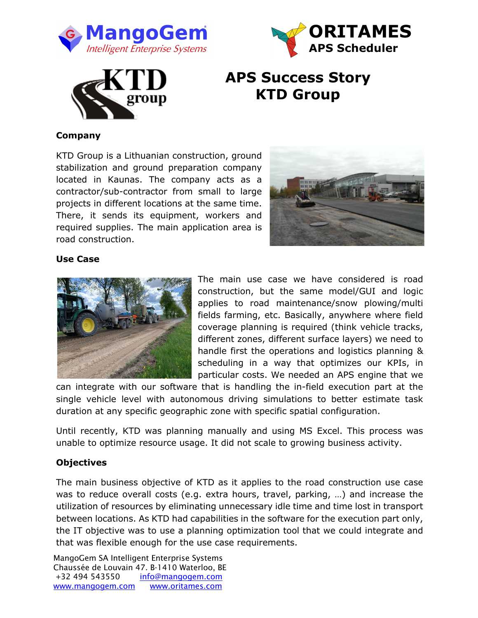





# **APS Success Story KTD Group**

# **Company**

KTD Group is a Lithuanian construction, ground stabilization and ground preparation company located in Kaunas. The company acts as a contractor/sub-contractor from small to large projects in different locations at the same time. There, it sends its equipment, workers and required supplies. The main application area is road construction.



#### **Use Case**



The main use case we have considered is road construction, but the same model/GUI and logic applies to road maintenance/snow plowing/multi fields farming, etc. Basically, anywhere where field coverage planning is required (think vehicle tracks, different zones, different surface layers) we need to handle first the operations and logistics planning & scheduling in a way that optimizes our KPIs, in particular costs. We needed an APS engine that we

can integrate with our software that is handling the in-field execution part at the single vehicle level with autonomous driving simulations to better estimate task duration at any specific geographic zone with specific spatial configuration.

Until recently, KTD was planning manually and using MS Excel. This process was unable to optimize resource usage. It did not scale to growing business activity.

## **Objectives**

The main business objective of KTD as it applies to the road construction use case was to reduce overall costs (e.g. extra hours, travel, parking, …) and increase the utilization of resources by eliminating unnecessary idle time and time lost in transport between locations. As KTD had capabilities in the software for the execution part only, the IT objective was to use a planning optimization tool that we could integrate and that was flexible enough for the use case requirements.

MangoGem SA Intelligent Enterprise Systems Chaussée de Louvain 47. B-1410 Waterloo, BE +32 494 543550 info@mangogem.com www.mangogem.com www.oritames.com